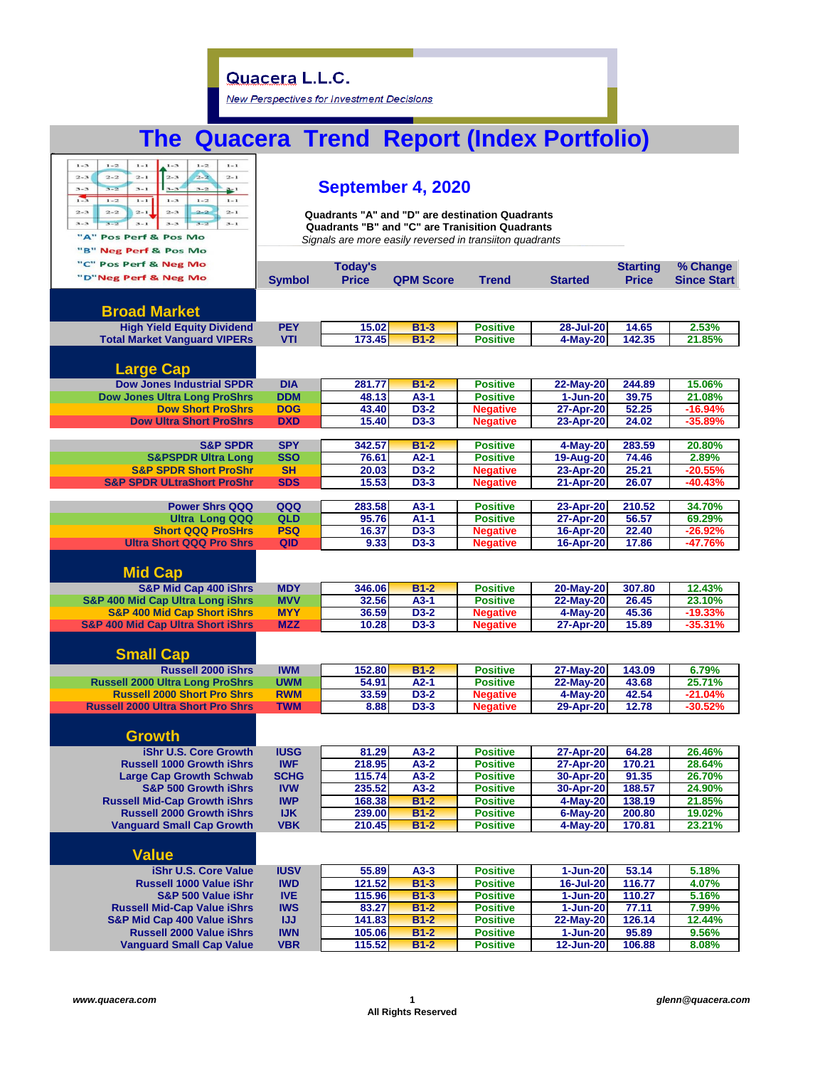New Perspectives for Investment Decisions

# **The Quacera Trend Report (Index Portfolio)**

| $1 - 3$<br>$1 - 2$<br>$1 - 3$<br>$1 - 2$<br>$1 - 1$<br>$1 - 1$<br>$2 - 2$<br>$2 - 3$<br>$2 - 3$<br>$2 - 2$<br>$2 - 1$<br>$2 - 1$<br>$3 - 2$<br>$3 - 1$<br>$3 - 3$<br>$3 - 2$<br>$3 - 3$<br>$3 - 1$<br>$\mathbf{r}$<br>$1 - 3$<br>$1 - 2$<br>$1 - 1$<br>$1 - 2$<br>$\mathbf{1}-\mathbf{1}$<br>$2 - 2$<br>$2 - 1$<br>$2 - 3$<br>$2 - 2$<br>$2 - 3$<br>$2 - 1$<br>$3 - 3$<br>$3 - 2$<br>$3 - 2$<br>$3 - 1$<br>$3 - 3$<br>$3 - 1$<br>"A" Pos Perf & Pos Mo<br>"B" Neg Perf & Pos Mo<br>"C" Pos Perf & Neg Mo<br>"D"Neg Perf & Neg Mo<br><b>Broad Market</b> | September 4, 2020<br>Quadrants "A" and "D" are destination Quadrants<br>Quadrants "B" and "C" are Tranisition Quadrants<br>Signals are more easily reversed in transiiton quadrants<br><b>Today's</b><br>% Change<br><b>Starting</b><br><b>Price</b><br><b>QPM Score</b><br><b>Trend</b><br><b>Price</b><br><b>Since Start</b><br><b>Symbol</b><br><b>Started</b> |        |        |                 |                  |        |           |  |  |
|---------------------------------------------------------------------------------------------------------------------------------------------------------------------------------------------------------------------------------------------------------------------------------------------------------------------------------------------------------------------------------------------------------------------------------------------------------------------------------------------------------------------------------------------------------|-------------------------------------------------------------------------------------------------------------------------------------------------------------------------------------------------------------------------------------------------------------------------------------------------------------------------------------------------------------------|--------|--------|-----------------|------------------|--------|-----------|--|--|
| <b>High Yield Equity Dividend</b>                                                                                                                                                                                                                                                                                                                                                                                                                                                                                                                       | <b>PEY</b>                                                                                                                                                                                                                                                                                                                                                        | 15.02  | $B1-3$ | <b>Positive</b> | 28-Jul-20        | 14.65  | 2.53%     |  |  |
| <b>Total Market Vanguard VIPERs</b>                                                                                                                                                                                                                                                                                                                                                                                                                                                                                                                     | <b>VTI</b>                                                                                                                                                                                                                                                                                                                                                        | 173.45 | $B1-2$ | <b>Positive</b> | 4-May-20         | 142.35 | 21.85%    |  |  |
| <b>Large Cap</b><br><b>Dow Jones Industrial SPDR</b>                                                                                                                                                                                                                                                                                                                                                                                                                                                                                                    | <b>DIA</b>                                                                                                                                                                                                                                                                                                                                                        | 281.77 | $B1-2$ | <b>Positive</b> | 22-May-20        | 244.89 | 15.06%    |  |  |
| <b>Dow Jones Ultra Long ProShrs</b>                                                                                                                                                                                                                                                                                                                                                                                                                                                                                                                     | <b>DDM</b>                                                                                                                                                                                                                                                                                                                                                        | 48.13  | $A3-1$ | <b>Positive</b> | $1 - Jun-20$     | 39.75  | 21.08%    |  |  |
| <b>Dow Short ProShrs</b>                                                                                                                                                                                                                                                                                                                                                                                                                                                                                                                                | <b>DOG</b>                                                                                                                                                                                                                                                                                                                                                        | 43.40  | D3-2   | <b>Negative</b> | 27-Apr-20        | 52.25  | $-16.94%$ |  |  |
| <b>Dow Ultra Short ProShrs</b>                                                                                                                                                                                                                                                                                                                                                                                                                                                                                                                          | <b>DXD</b>                                                                                                                                                                                                                                                                                                                                                        | 15.40  | D3-3   | <b>Negative</b> | 23-Apr-20        | 24.02  | $-35.89%$ |  |  |
|                                                                                                                                                                                                                                                                                                                                                                                                                                                                                                                                                         |                                                                                                                                                                                                                                                                                                                                                                   |        |        |                 |                  |        |           |  |  |
| <b>S&amp;P SPDR</b>                                                                                                                                                                                                                                                                                                                                                                                                                                                                                                                                     | <b>SPY</b>                                                                                                                                                                                                                                                                                                                                                        | 342.57 | $B1-2$ | <b>Positive</b> | 4-May-20         | 283.59 | 20.80%    |  |  |
| <b>S&amp;PSPDR Ultra Long</b>                                                                                                                                                                                                                                                                                                                                                                                                                                                                                                                           | <b>SSO</b>                                                                                                                                                                                                                                                                                                                                                        | 76.61  | $A2-1$ | <b>Positive</b> | 19-Aug-20        | 74.46  | 2.89%     |  |  |
| <b>S&amp;P SPDR Short ProShr</b>                                                                                                                                                                                                                                                                                                                                                                                                                                                                                                                        | <b>SH</b>                                                                                                                                                                                                                                                                                                                                                         | 20.03  | D3-2   | <b>Negative</b> | 23-Apr-20        | 25.21  | $-20.55%$ |  |  |
| <b>S&amp;P SPDR ULtraShort ProShr</b>                                                                                                                                                                                                                                                                                                                                                                                                                                                                                                                   | <b>SDS</b>                                                                                                                                                                                                                                                                                                                                                        | 15.53  | $D3-3$ | <b>Negative</b> | 21-Apr-20        | 26.07  | $-40.43%$ |  |  |
| <b>Power Shrs QQQ</b>                                                                                                                                                                                                                                                                                                                                                                                                                                                                                                                                   | QQQ                                                                                                                                                                                                                                                                                                                                                               | 283.58 | $A3-1$ | <b>Positive</b> | 23-Apr-20        | 210.52 | 34.70%    |  |  |
| <b>Ultra Long QQQ</b>                                                                                                                                                                                                                                                                                                                                                                                                                                                                                                                                   | <b>QLD</b>                                                                                                                                                                                                                                                                                                                                                        | 95.76  | $A1-1$ | <b>Positive</b> | 27-Apr-20        | 56.57  | 69.29%    |  |  |
| <b>Short QQQ ProSHrs</b>                                                                                                                                                                                                                                                                                                                                                                                                                                                                                                                                | <b>PSQ</b>                                                                                                                                                                                                                                                                                                                                                        | 16.37  | $D3-3$ | <b>Negative</b> | 16-Apr-20        | 22.40  | $-26.92%$ |  |  |
| <b>Ultra Short QQQ Pro Shrs</b>                                                                                                                                                                                                                                                                                                                                                                                                                                                                                                                         | QID                                                                                                                                                                                                                                                                                                                                                               | 9.33   | D3-3   | <b>Negative</b> | 16-Apr-20        | 17.86  | -47.76%   |  |  |
| <b>Mid Cap</b><br><b>S&amp;P Mid Cap 400 iShrs</b>                                                                                                                                                                                                                                                                                                                                                                                                                                                                                                      | <b>MDY</b>                                                                                                                                                                                                                                                                                                                                                        | 346.06 | $B1-2$ | <b>Positive</b> | 20-May-20        | 307.80 | 12.43%    |  |  |
| <b>S&amp;P 400 Mid Cap Ultra Long iShrs</b>                                                                                                                                                                                                                                                                                                                                                                                                                                                                                                             | <b>MVV</b>                                                                                                                                                                                                                                                                                                                                                        | 32.56  | $A3-1$ | <b>Positive</b> | 22-May-20        | 26.45  | 23.10%    |  |  |
| <b>S&amp;P 400 Mid Cap Short iShrs</b>                                                                                                                                                                                                                                                                                                                                                                                                                                                                                                                  | <b>MYY</b>                                                                                                                                                                                                                                                                                                                                                        | 36.59  | D3-2   | <b>Negative</b> | 4-May-20         | 45.36  | $-19.33%$ |  |  |
| <b>S&amp;P 400 Mid Cap Ultra Short iShrs</b>                                                                                                                                                                                                                                                                                                                                                                                                                                                                                                            | <b>MZZ</b>                                                                                                                                                                                                                                                                                                                                                        | 10.28  | D3-3   | <b>Negative</b> | 27-Apr-20        | 15.89  | $-35.31%$ |  |  |
| <b>Small Cap</b><br><b>Russell 2000 iShrs</b>                                                                                                                                                                                                                                                                                                                                                                                                                                                                                                           | <b>IWM</b>                                                                                                                                                                                                                                                                                                                                                        | 152.80 | $B1-2$ | <b>Positive</b> | 27-May-20        | 143.09 | 6.79%     |  |  |
| <b>Russell 2000 Ultra Long ProShrs</b>                                                                                                                                                                                                                                                                                                                                                                                                                                                                                                                  | <b>UWM</b>                                                                                                                                                                                                                                                                                                                                                        | 54.91  | $A2-1$ | <b>Positive</b> | 22-May-20        | 43.68  | 25.71%    |  |  |
| <b>Russell 2000 Short Pro Shrs</b>                                                                                                                                                                                                                                                                                                                                                                                                                                                                                                                      | <b>RWM</b>                                                                                                                                                                                                                                                                                                                                                        | 33.59  | D3-2   | <b>Negative</b> | 4-May-20         | 42.54  | $-21.04%$ |  |  |
| <b>Russell 2000 Ultra Short Pro Shrs</b>                                                                                                                                                                                                                                                                                                                                                                                                                                                                                                                | <b>TWM</b>                                                                                                                                                                                                                                                                                                                                                        | 8.88   | $D3-3$ | <b>Negative</b> | 29-Apr-20        | 12.78  | $-30.52%$ |  |  |
| <b>Growth</b><br>iShr U.S. Core Growth                                                                                                                                                                                                                                                                                                                                                                                                                                                                                                                  | <b>IUSG</b>                                                                                                                                                                                                                                                                                                                                                       | 81.29  | $A3-2$ | <b>Positive</b> | 27-Apr-20        | 64.28  | 26.46%    |  |  |
| <b>Russell 1000 Growth iShrs</b>                                                                                                                                                                                                                                                                                                                                                                                                                                                                                                                        | <b>IWF</b>                                                                                                                                                                                                                                                                                                                                                        | 218.95 | $A3-2$ | <b>Positive</b> | 27-Apr-20        | 170.21 | 28.64%    |  |  |
| <b>Large Cap Growth Schwab</b>                                                                                                                                                                                                                                                                                                                                                                                                                                                                                                                          | <b>SCHG</b>                                                                                                                                                                                                                                                                                                                                                       | 115.74 | $A3-2$ | <b>Positive</b> | 30-Apr-20        | 91.35  | 26.70%    |  |  |
| <b>S&amp;P 500 Growth iShrs</b>                                                                                                                                                                                                                                                                                                                                                                                                                                                                                                                         | <b>IVW</b>                                                                                                                                                                                                                                                                                                                                                        | 235.52 | $A3-2$ | <b>Positive</b> | 30-Apr-20        | 188.57 | 24.90%    |  |  |
| <b>Russell Mid-Cap Growth iShrs</b>                                                                                                                                                                                                                                                                                                                                                                                                                                                                                                                     | <b>IWP</b>                                                                                                                                                                                                                                                                                                                                                        | 168.38 | $B1-2$ | <b>Positive</b> | 4-May-20         | 138.19 | 21.85%    |  |  |
| <b>Russell 2000 Growth iShrs</b>                                                                                                                                                                                                                                                                                                                                                                                                                                                                                                                        | <b>IJK</b>                                                                                                                                                                                                                                                                                                                                                        | 239.00 | $B1-2$ | <b>Positive</b> | $6$ -May-20      | 200.80 | 19.02%    |  |  |
| <b>Vanguard Small Cap Growth</b>                                                                                                                                                                                                                                                                                                                                                                                                                                                                                                                        | <b>VBK</b>                                                                                                                                                                                                                                                                                                                                                        | 210.45 | $B1-2$ | <b>Positive</b> | 4-May-20         | 170.81 | 23.21%    |  |  |
| <b>Value</b>                                                                                                                                                                                                                                                                                                                                                                                                                                                                                                                                            |                                                                                                                                                                                                                                                                                                                                                                   |        |        |                 |                  |        |           |  |  |
| <b>iShr U.S. Core Value</b>                                                                                                                                                                                                                                                                                                                                                                                                                                                                                                                             | <b>IUSV</b>                                                                                                                                                                                                                                                                                                                                                       | 55.89  | $A3-3$ | <b>Positive</b> | $1-Jun-20$       | 53.14  | 5.18%     |  |  |
| Russell 1000 Value iShr                                                                                                                                                                                                                                                                                                                                                                                                                                                                                                                                 | <b>IWD</b>                                                                                                                                                                                                                                                                                                                                                        | 121.52 | $B1-3$ | <b>Positive</b> | $16 -$ Jul $-20$ | 116.77 | 4.07%     |  |  |
| S&P 500 Value iShr                                                                                                                                                                                                                                                                                                                                                                                                                                                                                                                                      | <b>IVE</b>                                                                                                                                                                                                                                                                                                                                                        | 115.96 | $B1-3$ | <b>Positive</b> | $1 - Jun-20$     | 110.27 | 5.16%     |  |  |
| <b>Russell Mid-Cap Value iShrs</b>                                                                                                                                                                                                                                                                                                                                                                                                                                                                                                                      | <b>IWS</b>                                                                                                                                                                                                                                                                                                                                                        | 83.27  | $B1-2$ | <b>Positive</b> | $1-Jun-20$       | 77.11  | 7.99%     |  |  |
| <b>S&amp;P Mid Cap 400 Value iShrs</b>                                                                                                                                                                                                                                                                                                                                                                                                                                                                                                                  | IJJ                                                                                                                                                                                                                                                                                                                                                               | 141.83 | $B1-2$ | <b>Positive</b> | 22-May-20        | 126.14 | 12.44%    |  |  |
| <b>Russell 2000 Value iShrs</b>                                                                                                                                                                                                                                                                                                                                                                                                                                                                                                                         | <b>IWN</b>                                                                                                                                                                                                                                                                                                                                                        | 105.06 | $B1-2$ | <b>Positive</b> | 1-Jun-20         | 95.89  | 9.56%     |  |  |
| <b>Vanguard Small Cap Value</b>                                                                                                                                                                                                                                                                                                                                                                                                                                                                                                                         | <b>VBR</b>                                                                                                                                                                                                                                                                                                                                                        | 115.52 | $B1-2$ | <b>Positive</b> | 12-Jun-20        | 106.88 | 8.08%     |  |  |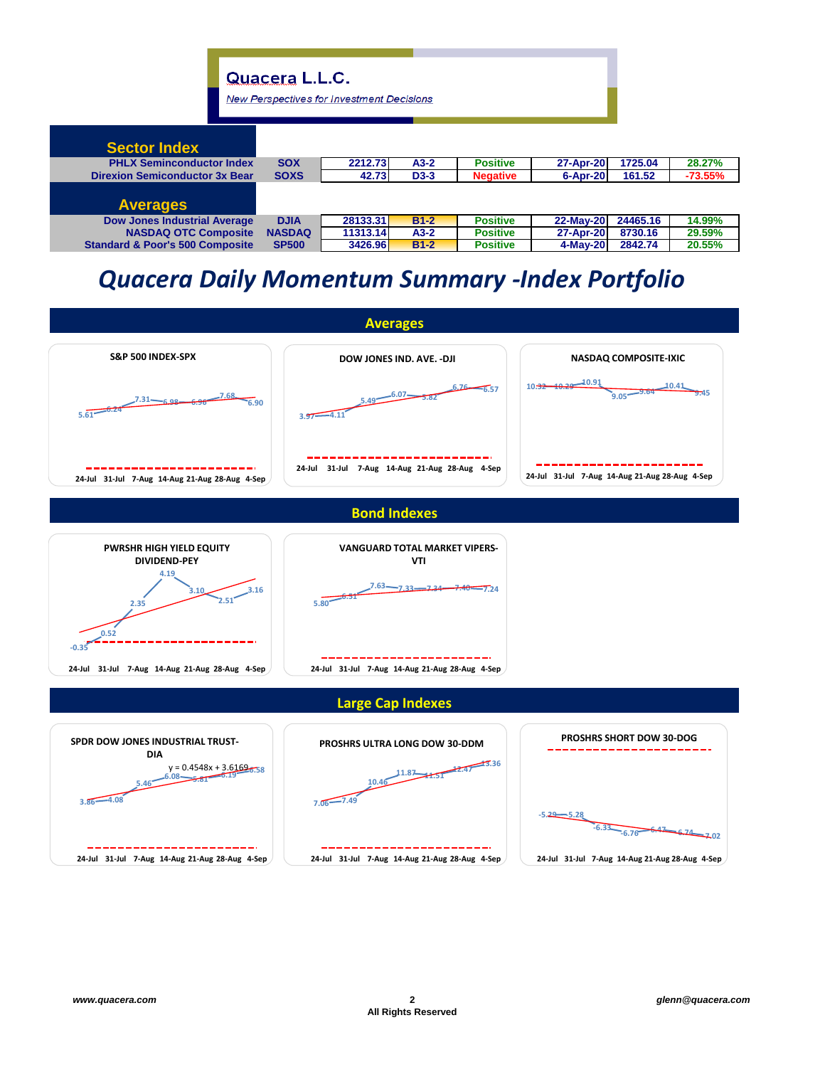**New Perspectives for Investment Decisions** 

| <b>Sector Index</b>                        |               |          |        |                 |           |          |           |
|--------------------------------------------|---------------|----------|--------|-----------------|-----------|----------|-----------|
| <b>PHLX Seminconductor Index</b>           | <b>SOX</b>    | 2212.73  | $A3-2$ | <b>Positive</b> | 27-Apr-20 | 1725.04  | 28.27%    |
| <b>Direxion Semiconductor 3x Bear</b>      | <b>SOXS</b>   | 42.73    | $D3-3$ | <b>Negative</b> | 6-Apr-20  | 161.52   | $-73.55%$ |
|                                            |               |          |        |                 |           |          |           |
| <b>Averages</b>                            |               |          |        |                 |           |          |           |
| <b>Dow Jones Industrial Average</b>        | <b>DJIA</b>   | 28133.31 | $B1-2$ | <b>Positive</b> | 22-May-20 | 24465.16 | 14.99%    |
| <b>NASDAQ OTC Composite</b>                | <b>NASDAQ</b> | 11313.14 | $A3-2$ | <b>Positive</b> | 27-Apr-20 | 8730.16  | 29.59%    |
| <b>Standard &amp; Poor's 500 Composite</b> | <b>SP500</b>  | 3426.96  | $B1-2$ | <b>Positive</b> | 4-May-20  | 2842.74  | 20.55%    |

# *Quacera Daily Momentum Summary -Index Portfolio*

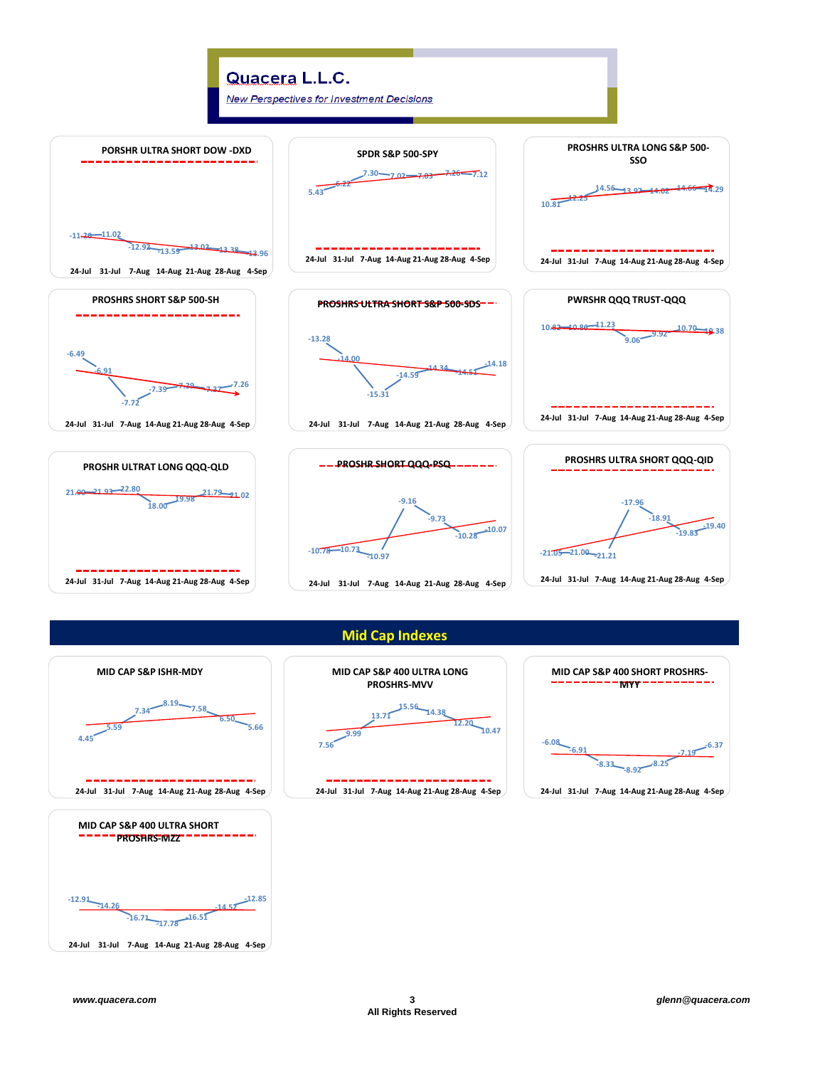

**Mid Cap Indexes**

**MID CAP S&P 400 ULTRA LONG PROSHRS-MVV**

> **13.71 15.56**

**24-Jul 31-Jul 7-Aug 14-Aug 21-Aug 28-Aug 4-Sep**

**14.38**

**12.20**

**10.47**

**-6.08**

**-6.91**

**-8.33 -8.92 -8.25**

**MID CAP S&P 400 SHORT PROSHRS-MYY**

**24-Jul 31-Jul 7-Aug 14-Aug 21-Aug 28-Aug 4-Sep**

**7.56**

**9.99**



**24-Jul 31-Jul 7-Aug 14-Aug 21-Aug 28-Aug 4-Sep**

**-7.19 -6.37**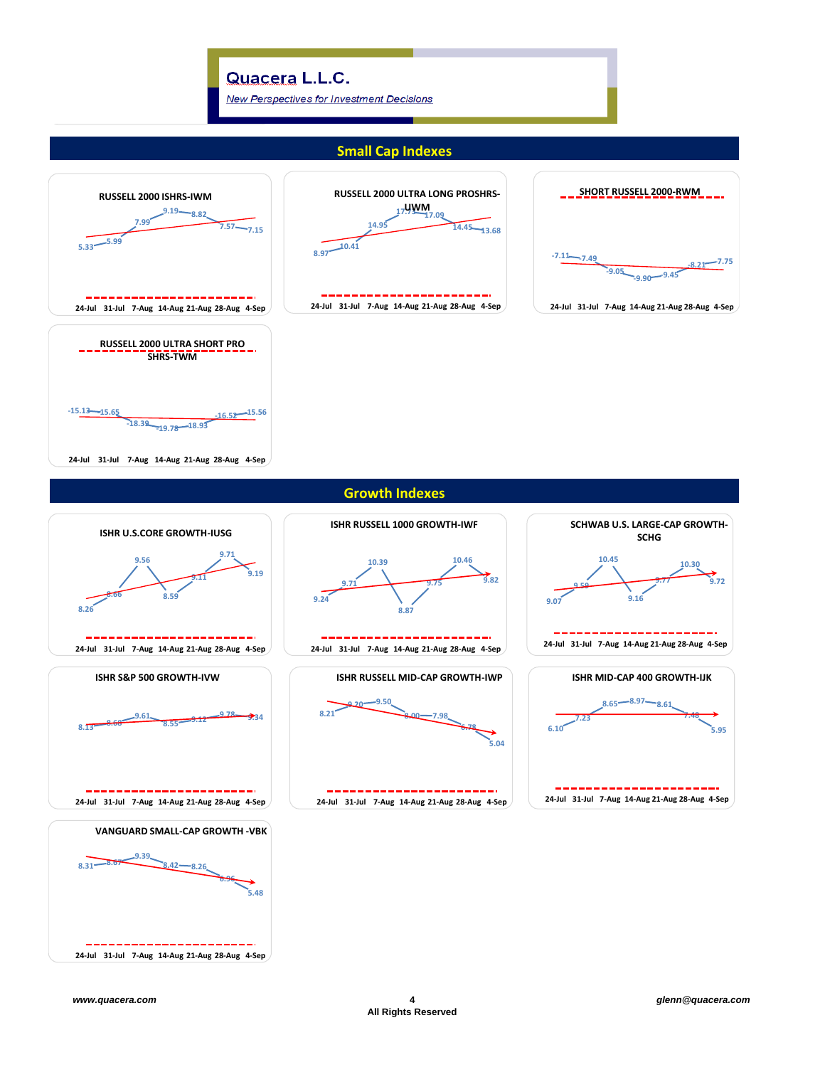**24-Jul 31-Jul 7-Aug 14-Aug 21-Aug 28-Aug 4-Sep**

**New Perspectives for Investment Decisions** 

#### **Small Cap Indexes**



**8.31 8.67**

**9.39**

**8.42 8.26**

**VANGUARD SMALL-CAP GROWTH -VBK** 

**24-Jul 31-Jul 7-Aug 14-Aug 21-Aug 28-Aug 4-Sep**

**6.96**

**5.48**